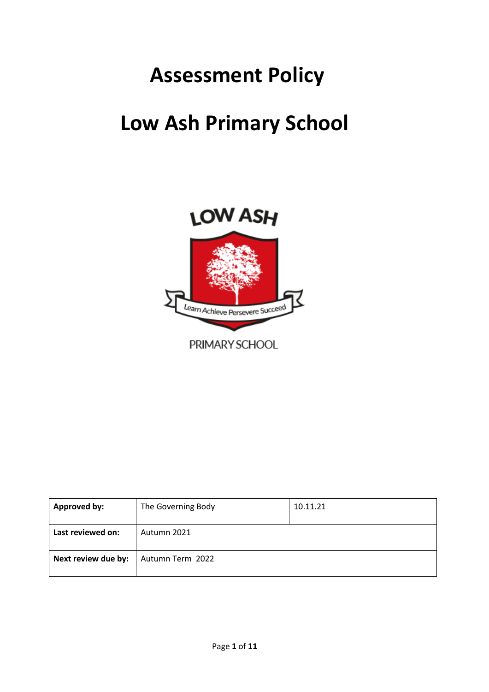# **Assessment Policy**

# **Low Ash Primary School**



| <b>Approved by:</b> | The Governing Body | 10.11.21 |
|---------------------|--------------------|----------|
| Last reviewed on:   | Autumn 2021        |          |
| Next review due by: | Autumn Term 2022   |          |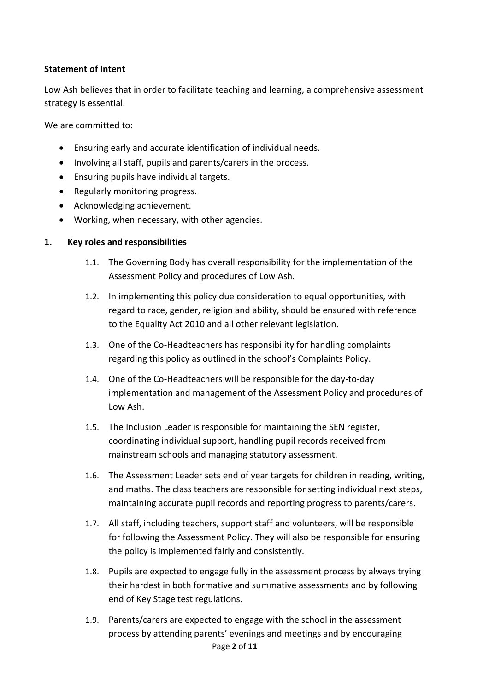## **Statement of Intent**

Low Ash believes that in order to facilitate teaching and learning, a comprehensive assessment strategy is essential.

We are committed to:

- Ensuring early and accurate identification of individual needs.
- Involving all staff, pupils and parents/carers in the process.
- Ensuring pupils have individual targets.
- Regularly monitoring progress.
- Acknowledging achievement.
- Working, when necessary, with other agencies.

## **1. Key roles and responsibilities**

- 1.1. The Governing Body has overall responsibility for the implementation of the Assessment Policy and procedures of Low Ash.
- 1.2. In implementing this policy due consideration to equal opportunities, with regard to race, gender, religion and ability, should be ensured with reference to the Equality Act 2010 and all other relevant legislation.
- 1.3. One of the Co-Headteachers has responsibility for handling complaints regarding this policy as outlined in the school's Complaints Policy.
- 1.4. One of the Co-Headteachers will be responsible for the day-to-day implementation and management of the Assessment Policy and procedures of Low Ash.
- 1.5. The Inclusion Leader is responsible for maintaining the SEN register, coordinating individual support, handling pupil records received from mainstream schools and managing statutory assessment.
- 1.6. The Assessment Leader sets end of year targets for children in reading, writing, and maths. The class teachers are responsible for setting individual next steps, maintaining accurate pupil records and reporting progress to parents/carers.
- 1.7. All staff, including teachers, support staff and volunteers, will be responsible for following the Assessment Policy. They will also be responsible for ensuring the policy is implemented fairly and consistently.
- 1.8. Pupils are expected to engage fully in the assessment process by always trying their hardest in both formative and summative assessments and by following end of Key Stage test regulations.
- Page **2** of **11** 1.9. Parents/carers are expected to engage with the school in the assessment process by attending parents' evenings and meetings and by encouraging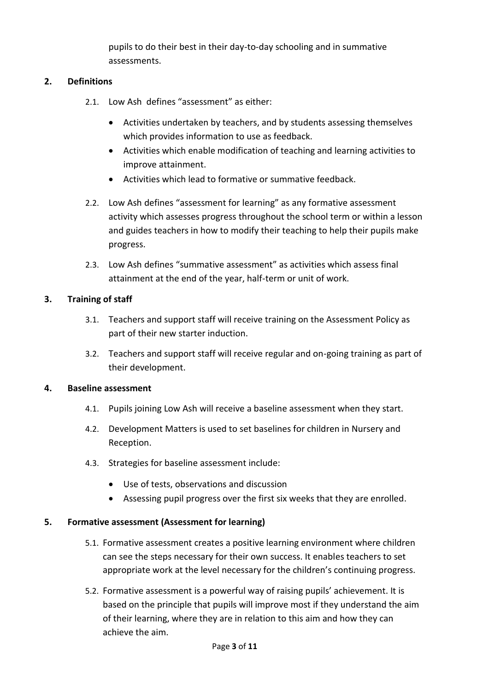pupils to do their best in their day-to-day schooling and in summative assessments.

## **2. Definitions**

- 2.1. Low Ash defines "assessment" as either:
	- Activities undertaken by teachers, and by students assessing themselves which provides information to use as feedback.
	- Activities which enable modification of teaching and learning activities to improve attainment.
	- Activities which lead to formative or summative feedback.
- 2.2. Low Ash defines "assessment for learning" as any formative assessment activity which assesses progress throughout the school term or within a lesson and guides teachers in how to modify their teaching to help their pupils make progress.
- 2.3. Low Ash defines "summative assessment" as activities which assess final attainment at the end of the year, half-term or unit of work.

## **3. Training of staff**

- 3.1. Teachers and support staff will receive training on the Assessment Policy as part of their new starter induction.
- 3.2. Teachers and support staff will receive regular and on-going training as part of their development.

### **4. Baseline assessment**

- 4.1. Pupils joining Low Ash will receive a baseline assessment when they start.
- 4.2. Development Matters is used to set baselines for children in Nursery and Reception.
- 4.3. Strategies for baseline assessment include:
	- Use of tests, observations and discussion
	- Assessing pupil progress over the first six weeks that they are enrolled.

### **5. Formative assessment (Assessment for learning)**

- 5.1. Formative assessment creates a positive learning environment where children can see the steps necessary for their own success. It enables teachers to set appropriate work at the level necessary for the children's continuing progress.
- 5.2. Formative assessment is a powerful way of raising pupils' achievement. It is based on the principle that pupils will improve most if they understand the aim of their learning, where they are in relation to this aim and how they can achieve the aim.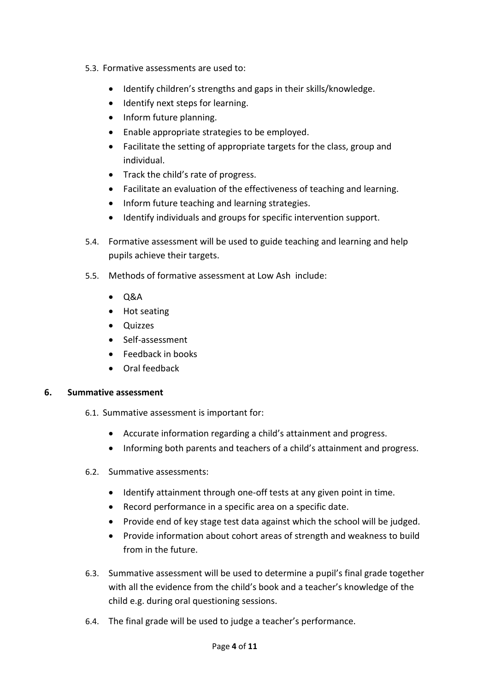- 5.3. Formative assessments are used to:
	- Identify children's strengths and gaps in their skills/knowledge.
	- Identify next steps for learning.
	- Inform future planning.
	- Enable appropriate strategies to be employed.
	- Facilitate the setting of appropriate targets for the class, group and individual.
	- Track the child's rate of progress.
	- Facilitate an evaluation of the effectiveness of teaching and learning.
	- Inform future teaching and learning strategies.
	- Identify individuals and groups for specific intervention support.
- 5.4. Formative assessment will be used to guide teaching and learning and help pupils achieve their targets.
- 5.5. Methods of formative assessment at Low Ash include:
	- Q&A
	- Hot seating
	- Quizzes
	- Self-assessment
	- Feedback in books
	- Oral feedback

### **6. Summative assessment**

- 6.1. Summative assessment is important for:
	- Accurate information regarding a child's attainment and progress.
	- Informing both parents and teachers of a child's attainment and progress.
- 6.2. Summative assessments:
	- Identify attainment through one-off tests at any given point in time.
	- Record performance in a specific area on a specific date.
	- Provide end of key stage test data against which the school will be judged.
	- Provide information about cohort areas of strength and weakness to build from in the future.
- 6.3. Summative assessment will be used to determine a pupil's final grade together with all the evidence from the child's book and a teacher's knowledge of the child e.g. during oral questioning sessions.
- 6.4. The final grade will be used to judge a teacher's performance.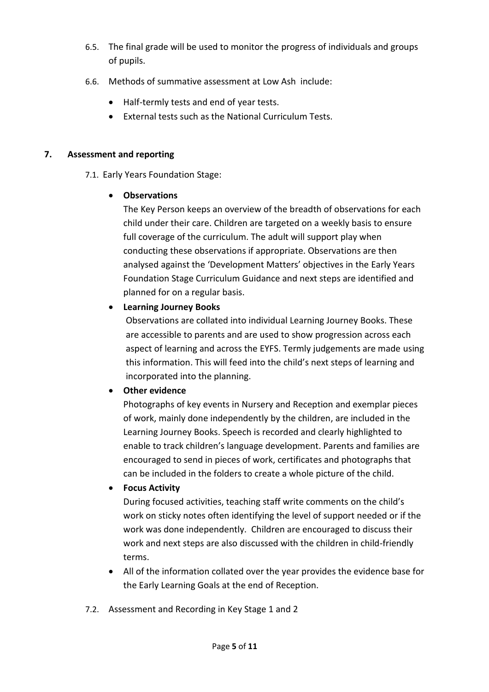- 6.5. The final grade will be used to monitor the progress of individuals and groups of pupils.
- 6.6. Methods of summative assessment at Low Ash include:
	- Half-termly tests and end of year tests.
	- External tests such as the National Curriculum Tests.

# **7. Assessment and reporting**

7.1. Early Years Foundation Stage:

# • **Observations**

The Key Person keeps an overview of the breadth of observations for each child under their care. Children are targeted on a weekly basis to ensure full coverage of the curriculum. The adult will support play when conducting these observations if appropriate. Observations are then analysed against the 'Development Matters' objectives in the Early Years Foundation Stage Curriculum Guidance and next steps are identified and planned for on a regular basis.

# • **Learning Journey Books**

Observations are collated into individual Learning Journey Books. These are accessible to parents and are used to show progression across each aspect of learning and across the EYFS. Termly judgements are made using this information. This will feed into the child's next steps of learning and incorporated into the planning.

# • **Other evidence**

Photographs of key events in Nursery and Reception and exemplar pieces of work, mainly done independently by the children, are included in the Learning Journey Books. Speech is recorded and clearly highlighted to enable to track children's language development. Parents and families are encouraged to send in pieces of work, certificates and photographs that can be included in the folders to create a whole picture of the child.

# • **Focus Activity**

During focused activities, teaching staff write comments on the child's work on sticky notes often identifying the level of support needed or if the work was done independently. Children are encouraged to discuss their work and next steps are also discussed with the children in child-friendly terms.

- All of the information collated over the year provides the evidence base for the Early Learning Goals at the end of Reception.
- 7.2. Assessment and Recording in Key Stage 1 and 2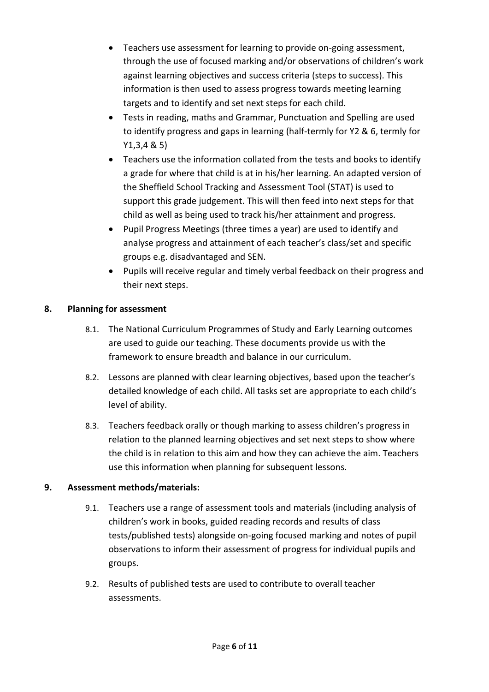- Teachers use assessment for learning to provide on-going assessment, through the use of focused marking and/or observations of children's work against learning objectives and success criteria (steps to success). This information is then used to assess progress towards meeting learning targets and to identify and set next steps for each child.
- Tests in reading, maths and Grammar, Punctuation and Spelling are used to identify progress and gaps in learning (half-termly for Y2 & 6, termly for Y1,3,4 & 5)
- Teachers use the information collated from the tests and books to identify a grade for where that child is at in his/her learning. An adapted version of the Sheffield School Tracking and Assessment Tool (STAT) is used to support this grade judgement. This will then feed into next steps for that child as well as being used to track his/her attainment and progress.
- Pupil Progress Meetings (three times a year) are used to identify and analyse progress and attainment of each teacher's class/set and specific groups e.g. disadvantaged and SEN.
- Pupils will receive regular and timely verbal feedback on their progress and their next steps.

# **8. Planning for assessment**

- 8.1. The National Curriculum Programmes of Study and Early Learning outcomes are used to guide our teaching. These documents provide us with the framework to ensure breadth and balance in our curriculum.
- 8.2. Lessons are planned with clear learning objectives, based upon the teacher's detailed knowledge of each child. All tasks set are appropriate to each child's level of ability.
- 8.3. Teachers feedback orally or though marking to assess children's progress in relation to the planned learning objectives and set next steps to show where the child is in relation to this aim and how they can achieve the aim. Teachers use this information when planning for subsequent lessons.

# **9. Assessment methods/materials:**

- 9.1. Teachers use a range of assessment tools and materials (including analysis of children's work in books, guided reading records and results of class tests/published tests) alongside on-going focused marking and notes of pupil observations to inform their assessment of progress for individual pupils and groups.
- 9.2. Results of published tests are used to contribute to overall teacher assessments.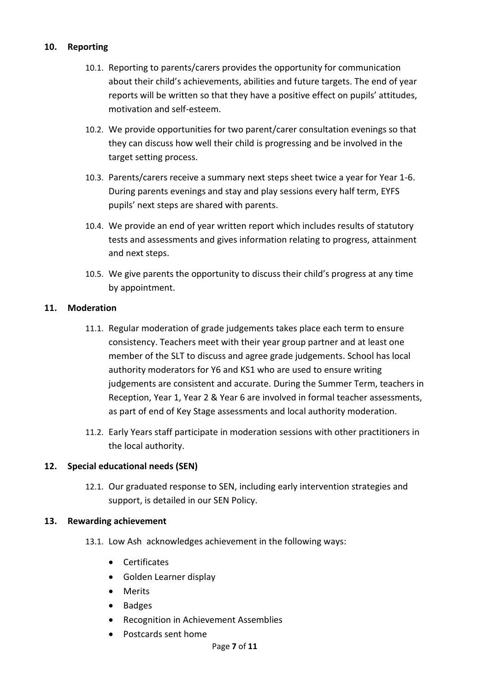## **10. Reporting**

- 10.1. Reporting to parents/carers provides the opportunity for communication about their child's achievements, abilities and future targets. The end of year reports will be written so that they have a positive effect on pupils' attitudes, motivation and self-esteem.
- 10.2. We provide opportunities for two parent/carer consultation evenings so that they can discuss how well their child is progressing and be involved in the target setting process.
- 10.3. Parents/carers receive a summary next steps sheet twice a year for Year 1-6. During parents evenings and stay and play sessions every half term, EYFS pupils' next steps are shared with parents.
- 10.4. We provide an end of year written report which includes results of statutory tests and assessments and gives information relating to progress, attainment and next steps.
- 10.5. We give parents the opportunity to discuss their child's progress at any time by appointment.

## **11. Moderation**

- 11.1. Regular moderation of grade judgements takes place each term to ensure consistency. Teachers meet with their year group partner and at least one member of the SLT to discuss and agree grade judgements. School has local authority moderators for Y6 and KS1 who are used to ensure writing judgements are consistent and accurate. During the Summer Term, teachers in Reception, Year 1, Year 2 & Year 6 are involved in formal teacher assessments, as part of end of Key Stage assessments and local authority moderation.
- 11.2. Early Years staff participate in moderation sessions with other practitioners in the local authority.

## **12. Special educational needs (SEN)**

12.1. Our graduated response to SEN, including early intervention strategies and support, is detailed in our SEN Policy.

### **13. Rewarding achievement**

- 13.1. Low Ash acknowledges achievement in the following ways:
	- Certificates
	- Golden Learner display
	- Merits
	- Badges
	- Recognition in Achievement Assemblies
	- Postcards sent home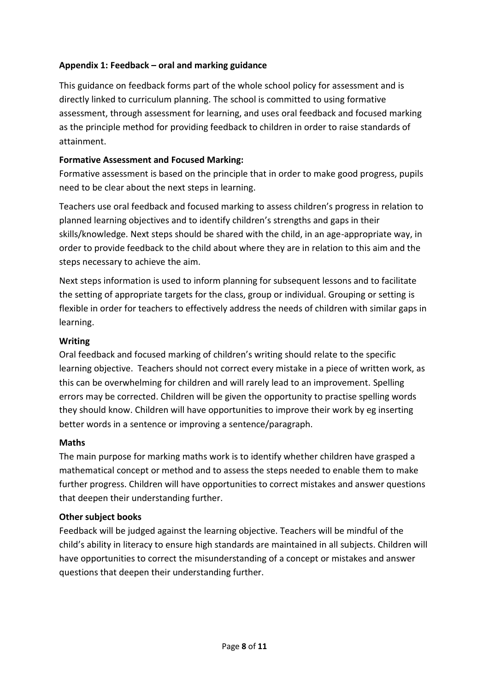# **Appendix 1: Feedback – oral and marking guidance**

This guidance on feedback forms part of the whole school policy for assessment and is directly linked to curriculum planning. The school is committed to using formative assessment, through assessment for learning, and uses oral feedback and focused marking as the principle method for providing feedback to children in order to raise standards of attainment.

## **Formative Assessment and Focused Marking:**

Formative assessment is based on the principle that in order to make good progress, pupils need to be clear about the next steps in learning.

Teachers use oral feedback and focused marking to assess children's progress in relation to planned learning objectives and to identify children's strengths and gaps in their skills/knowledge. Next steps should be shared with the child, in an age-appropriate way, in order to provide feedback to the child about where they are in relation to this aim and the steps necessary to achieve the aim.

Next steps information is used to inform planning for subsequent lessons and to facilitate the setting of appropriate targets for the class, group or individual. Grouping or setting is flexible in order for teachers to effectively address the needs of children with similar gaps in learning.

## **Writing**

Oral feedback and focused marking of children's writing should relate to the specific learning objective. Teachers should not correct every mistake in a piece of written work, as this can be overwhelming for children and will rarely lead to an improvement. Spelling errors may be corrected. Children will be given the opportunity to practise spelling words they should know. Children will have opportunities to improve their work by eg inserting better words in a sentence or improving a sentence/paragraph.

### **Maths**

The main purpose for marking maths work is to identify whether children have grasped a mathematical concept or method and to assess the steps needed to enable them to make further progress. Children will have opportunities to correct mistakes and answer questions that deepen their understanding further.

## **Other subject books**

Feedback will be judged against the learning objective. Teachers will be mindful of the child's ability in literacy to ensure high standards are maintained in all subjects. Children will have opportunities to correct the misunderstanding of a concept or mistakes and answer questions that deepen their understanding further.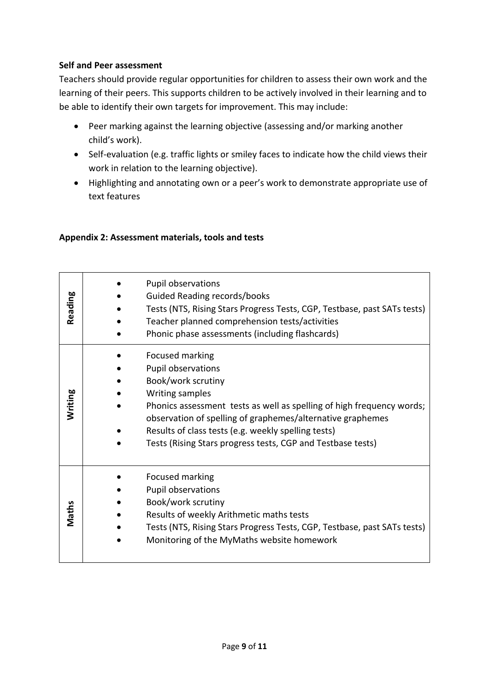# **Self and Peer assessment**

Teachers should provide regular opportunities for children to assess their own work and the learning of their peers. This supports children to be actively involved in their learning and to be able to identify their own targets for improvement. This may include:

- Peer marking against the learning objective (assessing and/or marking another child's work).
- Self-evaluation (e.g. traffic lights or smiley faces to indicate how the child views their work in relation to the learning objective).
- Highlighting and annotating own or a peer's work to demonstrate appropriate use of text features

# **Appendix 2: Assessment materials, tools and tests**

| Reading | Pupil observations<br><b>Guided Reading records/books</b><br>Tests (NTS, Rising Stars Progress Tests, CGP, Testbase, past SATs tests)<br>Teacher planned comprehension tests/activities                                                                                                                                                                                                        |
|---------|------------------------------------------------------------------------------------------------------------------------------------------------------------------------------------------------------------------------------------------------------------------------------------------------------------------------------------------------------------------------------------------------|
| Writing | Phonic phase assessments (including flashcards)<br>Focused marking<br>Pupil observations<br>Book/work scrutiny<br>Writing samples<br>Phonics assessment tests as well as spelling of high frequency words;<br>observation of spelling of graphemes/alternative graphemes<br>Results of class tests (e.g. weekly spelling tests)<br>Tests (Rising Stars progress tests, CGP and Testbase tests) |
| Maths   | Focused marking<br>Pupil observations<br>Book/work scrutiny<br>Results of weekly Arithmetic maths tests<br>Tests (NTS, Rising Stars Progress Tests, CGP, Testbase, past SATs tests)<br>Monitoring of the MyMaths website homework                                                                                                                                                              |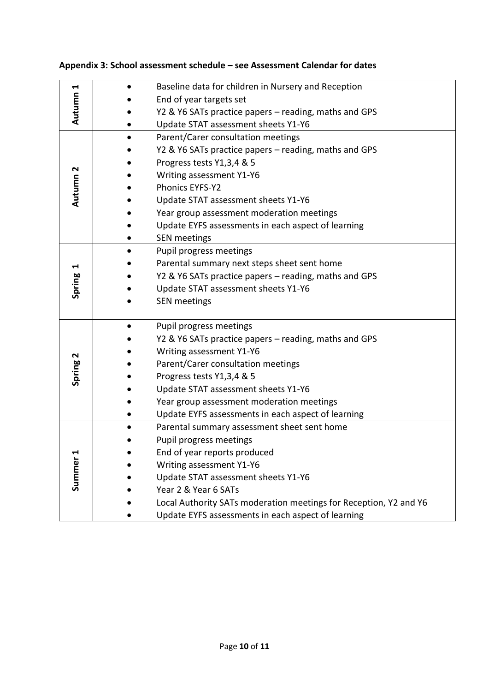| ↤<br>Autumn                    | Baseline data for children in Nursery and Reception               |
|--------------------------------|-------------------------------------------------------------------|
|                                | End of year targets set                                           |
|                                | Y2 & Y6 SATs practice papers - reading, maths and GPS             |
|                                | Update STAT assessment sheets Y1-Y6                               |
| Autumn 2                       | Parent/Carer consultation meetings                                |
|                                | Y2 & Y6 SATs practice papers – reading, maths and GPS             |
|                                | Progress tests Y1,3,4 & 5                                         |
|                                | Writing assessment Y1-Y6                                          |
|                                | Phonics EYFS-Y2                                                   |
|                                | Update STAT assessment sheets Y1-Y6                               |
|                                | Year group assessment moderation meetings                         |
|                                | Update EYFS assessments in each aspect of learning                |
|                                | <b>SEN</b> meetings                                               |
| 1<br>Spring                    | Pupil progress meetings                                           |
|                                | Parental summary next steps sheet sent home                       |
|                                | Y2 & Y6 SATs practice papers - reading, maths and GPS             |
|                                | Update STAT assessment sheets Y1-Y6                               |
|                                | <b>SEN</b> meetings                                               |
|                                | Pupil progress meetings<br>$\bullet$                              |
|                                | Y2 & Y6 SATs practice papers - reading, maths and GPS             |
|                                | Writing assessment Y1-Y6                                          |
| Spring 2                       | Parent/Carer consultation meetings                                |
|                                | Progress tests Y1,3,4 & 5                                         |
|                                | Update STAT assessment sheets Y1-Y6                               |
|                                | Year group assessment moderation meetings                         |
|                                | Update EYFS assessments in each aspect of learning                |
|                                | Parental summary assessment sheet sent home                       |
| $\blacktriangleleft$<br>Summer | Pupil progress meetings                                           |
|                                | End of year reports produced                                      |
|                                | Writing assessment Y1-Y6                                          |
|                                | Update STAT assessment sheets Y1-Y6                               |
|                                | Year 2 & Year 6 SATs                                              |
|                                | Local Authority SATs moderation meetings for Reception, Y2 and Y6 |
|                                | Update EYFS assessments in each aspect of learning                |

# **Appendix 3: School assessment schedule – see Assessment Calendar for dates**